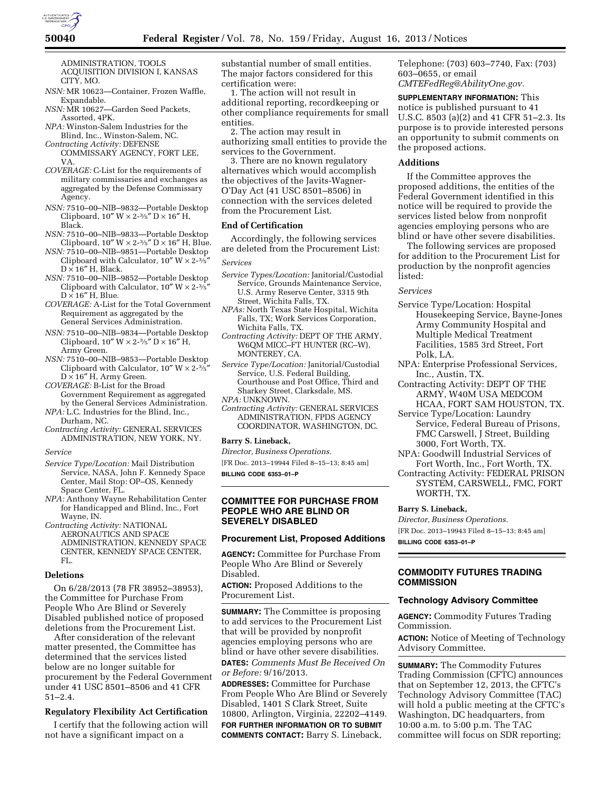

ADMINISTRATION, TOOLS ACQUISITION DIVISION I, KANSAS CITY, MO.

- *NSN:* MR 10623—Container, Frozen Waffle, Expandable.
- *NSN:* MR 10627—Garden Seed Packets, Assorted, 4PK.
- *NPA:* Winston-Salem Industries for the Blind, Inc., Winston-Salem, NC.
- *Contracting Activity:* DEFENSE COMMISSARY AGENCY, FORT LEE, VA.
- *COVERAGE:* C-List for the requirements of military commissaries and exchanges as aggregated by the Defense Commissary Agency.
- *NSN:* 7510–00–NIB–9832—Portable Desktop Clipboard,  $10'' W \times 2\frac{3}{5}'' D \times 16'' H$ , Black.
- *NSN:* 7510–00–NIB–9833—Portable Desktop Clipboard,  $10'' W \times 2-3/5'' D \times 16'' H$ , Blue.
- *NSN:* 7510–00–NIB–9851—Portable Desktop Clipboard with Calculator,  $10'' W \times 2\frac{3}{5}$  $D \times 16''$  H, Black.
- *NSN:* 7510–00–NIB–9852—Portable Desktop Clipboard with Calculator,  $10'' W \times 2-3/5'$  $D \times 16''$  H, Blue.
- *COVERAGE:* A-List for the Total Government Requirement as aggregated by the General Services Administration.
- *NSN:* 7510–00–NIB–9834—Portable Desktop Clipboard,  $10''$  W  $\times$  2- $\frac{3}{5}$ " D  $\times$  16" H, Army Green.
- *NSN:* 7510–00–NIB–9853—Portable Desktop Clipboard with Calculator,  $10''$  W  $\times$  2- $\frac{3}{5}$  $D \times 16''$  H, Army Green.

*COVERAGE:* B-List for the Broad Government Requirement as aggregated by the General Services Administration.

- *NPA:* L.C. Industries for the Blind, Inc., Durham, NC.
- *Contracting Activity:* GENERAL SERVICES ADMINISTRATION, NEW YORK, NY.

#### *Service*

- *Service Type/Location:* Mail Distribution Service, NASA, John F. Kennedy Space Center, Mail Stop: OP–OS, Kennedy Space Center, FL.
- *NPA:* Anthony Wayne Rehabilitation Center for Handicapped and Blind, Inc., Fort Wayne, IN.
- *Contracting Activity:* NATIONAL AERONAUTICS AND SPACE ADMINISTRATION, KENNEDY SPACE CENTER, KENNEDY SPACE CENTER, FL.

# **Deletions**

On 6/28/2013 (78 FR 38952–38953), the Committee for Purchase From People Who Are Blind or Severely Disabled published notice of proposed deletions from the Procurement List.

After consideration of the relevant matter presented, the Committee has determined that the services listed below are no longer suitable for procurement by the Federal Government under 41 USC 8501–8506 and 41 CFR 51–2.4.

### **Regulatory Flexibility Act Certification**

I certify that the following action will not have a significant impact on a

substantial number of small entities. The major factors considered for this certification were:

1. The action will not result in additional reporting, recordkeeping or other compliance requirements for small entities.

2. The action may result in authorizing small entities to provide the services to the Government.

3. There are no known regulatory alternatives which would accomplish the objectives of the Javits-Wagner-O'Day Act (41 USC 8501–8506) in connection with the services deleted from the Procurement List.

#### **End of Certification**

Accordingly, the following services are deleted from the Procurement List: *Services* 

- *Service Types/Location:* Janitorial/Custodial Service, Grounds Maintenance Service, U.S. Army Reserve Center, 3315 9th
- Street, Wichita Falls, TX. *NPAs:* North Texas State Hospital, Wichita Falls, TX; Work Services Corporation, Wichita Falls, TX.
- *Contracting Activity:* DEPT OF THE ARMY, W6QM MICC–FT HUNTER (RC–W), MONTEREY, CA.

*Service Type/Location:* Janitorial/Custodial Service, U.S. Federal Building, Courthouse and Post Office, Third and Sharkey Street, Clarksdale, MS. *NPA:* UNKNOWN.

*Contracting Activity:* GENERAL SERVICES ADMINISTRATION, FPDS AGENCY COORDINATOR, WASHINGTON, DC.

#### **Barry S. Lineback,**

*Director, Business Operations.* 

[FR Doc. 2013–19944 Filed 8–15–13; 8:45 am]

**BILLING CODE 6353–01–P** 

## **COMMITTEE FOR PURCHASE FROM PEOPLE WHO ARE BLIND OR SEVERELY DISABLED**

### **Procurement List, Proposed Additions**

**AGENCY:** Committee for Purchase From People Who Are Blind or Severely Disabled.

**ACTION:** Proposed Additions to the Procurement List.

**SUMMARY:** The Committee is proposing to add services to the Procurement List that will be provided by nonprofit agencies employing persons who are blind or have other severe disabilities. **DATES:** *Comments Must Be Received On or Before:* 9/16/2013.

**ADDRESSES:** Committee for Purchase From People Who Are Blind or Severely Disabled, 1401 S Clark Street, Suite 10800, Arlington, Virginia, 22202–4149. **FOR FURTHER INFORMATION OR TO SUBMIT COMMENTS CONTACT:** Barry S. Lineback,

Telephone: (703) 603–7740, Fax: (703) 603–0655, or email *[CMTEFedReg@AbilityOne.gov.](mailto:CMTEFedReg@AbilityOne.gov)* 

**SUPPLEMENTARY INFORMATION:** This notice is published pursuant to 41 U.S.C. 8503 (a)(2) and 41 CFR 51–2.3. Its purpose is to provide interested persons an opportunity to submit comments on the proposed actions.

## **Additions**

If the Committee approves the proposed additions, the entities of the Federal Government identified in this notice will be required to provide the services listed below from nonprofit agencies employing persons who are blind or have other severe disabilities.

The following services are proposed for addition to the Procurement List for production by the nonprofit agencies listed:

#### *Services*

- Service Type/Location: Hospital Housekeeping Service, Bayne-Jones Army Community Hospital and Multiple Medical Treatment Facilities, 1585 3rd Street, Fort Polk, LA.
- NPA: Enterprise Professional Services, Inc., Austin, TX.
- Contracting Activity: DEPT OF THE ARMY, W40M USA MEDCOM HCAA, FORT SAM HOUSTON, TX.
- Service Type/Location: Laundry Service, Federal Bureau of Prisons, FMC Carswell, J Street, Building 3000, Fort Worth, TX.
- NPA: Goodwill Industrial Services of Fort Worth, Inc., Fort Worth, TX.
- Contracting Activity: FEDERAL PRISON SYSTEM, CARSWELL, FMC, FORT WORTH, TX.

#### **Barry S. Lineback,**

*Director, Business Operations.*  [FR Doc. 2013–19943 Filed 8–15–13; 8:45 am]

**BILLING CODE 6353–01–P** 

# **COMMODITY FUTURES TRADING COMMISSION**

#### **Technology Advisory Committee**

**AGENCY:** Commodity Futures Trading Commission.

**ACTION:** Notice of Meeting of Technology Advisory Committee.

**SUMMARY:** The Commodity Futures Trading Commission (CFTC) announces that on September 12, 2013, the CFTC's Technology Advisory Committee (TAC) will hold a public meeting at the CFTC's Washington, DC headquarters, from 10:00 a.m. to 5:00 p.m. The TAC committee will focus on SDR reporting;